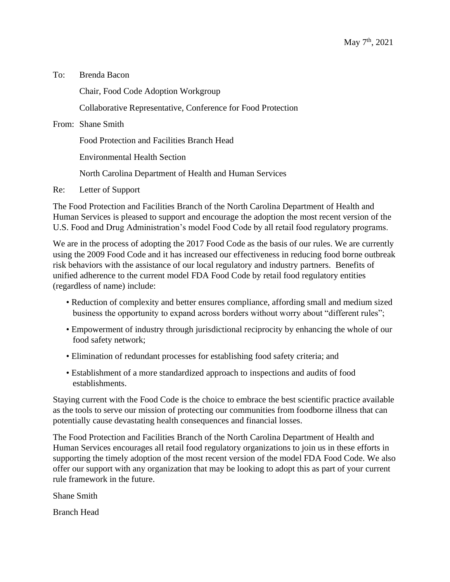To: Brenda Bacon

Chair, Food Code Adoption Workgroup

Collaborative Representative, Conference for Food Protection

From: Shane Smith

Food Protection and Facilities Branch Head

Environmental Health Section

North Carolina Department of Health and Human Services

Re: Letter of Support

The Food Protection and Facilities Branch of the North Carolina Department of Health and Human Services is pleased to support and encourage the adoption the most recent version of the U.S. Food and Drug Administration's model Food Code by all retail food regulatory programs.

We are in the process of adopting the 2017 Food Code as the basis of our rules. We are currently using the 2009 Food Code and it has increased our effectiveness in reducing food borne outbreak risk behaviors with the assistance of our local regulatory and industry partners. Benefits of unified adherence to the current model FDA Food Code by retail food regulatory entities (regardless of name) include:

- Reduction of complexity and better ensures compliance, affording small and medium sized business the opportunity to expand across borders without worry about "different rules";
- Empowerment of industry through jurisdictional reciprocity by enhancing the whole of our food safety network;
- Elimination of redundant processes for establishing food safety criteria; and
- Establishment of a more standardized approach to inspections and audits of food establishments.

Staying current with the Food Code is the choice to embrace the best scientific practice available as the tools to serve our mission of protecting our communities from foodborne illness that can potentially cause devastating health consequences and financial losses.

The Food Protection and Facilities Branch of the North Carolina Department of Health and Human Services encourages all retail food regulatory organizations to join us in these efforts in supporting the timely adoption of the most recent version of the model FDA Food Code. We also offer our support with any organization that may be looking to adopt this as part of your current rule framework in the future.

Shane Smith

Branch Head